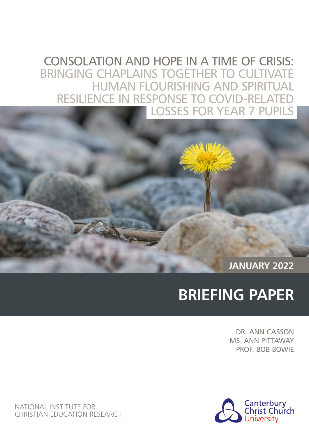# CONSOLATION AND HOPE IN A TIME OF CRISIS: BRINGING CHAPLAINS TOGETHER TO CULTIVATE HUMAN FLOURISHING AND SPIRITUAL RESILIENCE IN RESPONSE TO COVID-RELATE LOSSES FOR YEAR 7 PUPILS

**JANUARY 2022**

# **BRIEFING PAPER**

DR. ANN CASSON MS. ANN PITTAWAY PROF. BOB BOWIE



NATIONAL INSTITUTE FOR CHRISTIAN EDUCATION RESEARCH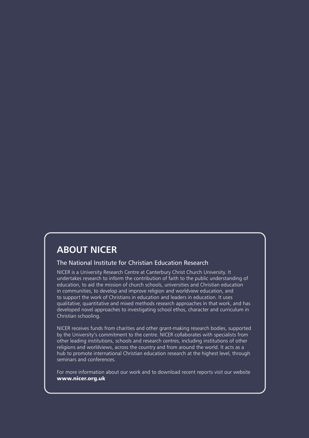### **ABOUT NICER**

### The National Institute for Christian Education Research

NICER is a University Research Centre at Canterbury Christ Church University. It undertakes research to inform the contribution of faith to the public understanding of education, to aid the mission of church schools, universities and Christian education in communities, to develop and improve religion and worldview education, and to support the work of Christians in education and leaders in education. It uses qualitative, quantitative and mixed methods research approaches in that work, and has developed novel approaches to investigating school ethos, character and curriculum in Christian schooling.

NICER receives funds from charities and other grant-making research bodies, supported by the University's commitment to the centre. NICER collaborates with specialists from other leading institutions, schools and research centres, including institutions of other religions and worldviews, across the country and from around the world. It acts as a hub to promote international Christian education research at the highest level, through seminars and conferences.

For more information about our work and to download recent reports visit our website www.nicer.org.uk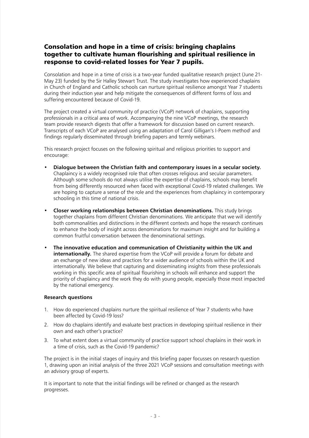### Consolation and hope in a time of crisis: bringing chaplains together to cultivate human flourishing and spiritual resilience in response to covid-related losses for Year 7 pupils.

Consolation and hope in a time of crisis is a two-year funded qualitative research project (June 21- May 23) funded by the Sir Halley Stewart Trust. The study investigates how experienced chaplains in Church of England and Catholic schools can nurture spiritual resilience amongst Year 7 students during their induction year and help mitigate the consequences of different forms of loss and suffering encountered because of Covid-19.

The project created a virtual community of practice (VCoP) network of chaplains, supporting professionals in a critical area of work. Accompanying the nine VCoP meetings, the research team provide research digests that offer a framework for discussion based on current research. Transcripts of each VCoP are analysed using an adaptation of Carol Gilligan's I-Poem methodi and findings regularly disseminated through briefing papers and termly webinars.

This research project focuses on the following spiritual and religious priorities to support and encourage:

- **Dialogue between the Christian faith and contemporary issues in a secular society.** Chaplaincy is a widely recognised role that often crosses religious and secular parameters. Although some schools do not always utilise the expertise of chaplains, schools may benefit from being differently resourced when faced with exceptional Covid-19 related challenges. We are hoping to capture a sense of the role and the experiences from chaplaincy in contemporary schooling in this time of national crisis.
- **Closer working relationships between Christian denominations.** This study brings together chaplains from different Christian denominations. We anticipate that we will identify both commonalities and distinctions in the different contexts and hope the research continues to enhance the body of insight across denominations for maximum insight and for building a common fruitful conversation between the denominational settings.
- **The innovative education and communication of Christianity within the UK and internationally.** The shared expertise from the VCoP will provide a forum for debate and an exchange of new ideas and practices for a wider audience of schools within the UK and internationally. We believe that capturing and disseminating insights from these professionals working in this specific area of spiritual flourishing in schools will enhance and support the priority of chaplaincy and the work they do with young people, especially those most impacted by the national emergency.

### **Research questions**

- 1. How do experienced chaplains nurture the spiritual resilience of Year 7 students who have been affected by Covid-19 loss?
- 2. How do chaplains identify and evaluate best practices in developing spiritual resilience in their own and each other's practice?
- 3. To what extent does a virtual community of practice support school chaplains in their work in a time of crisis, such as the Covid-19 pandemic?

The project is in the initial stages of inquiry and this briefing paper focusses on research question 1, drawing upon an initial analysis of the three 2021 VCoP sessions and consultation meetings with an advisory group of experts.

It is important to note that the initial findings will be refined or changed as the research progresses.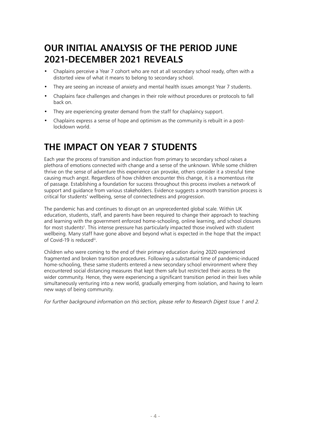# **OUR INITIAL ANALYSIS OF THE PERIOD JUNE 2021-DECEMBER 2021 REVEALS**

- Chaplains perceive a Year 7 cohort who are not at all secondary school ready, often with a distorted view of what it means to belong to secondary school.
- They are seeing an increase of anxiety and mental health issues amongst Year 7 students.
- Chaplains face challenges and changes in their role without procedures or protocols to fall back on.
- They are experiencing greater demand from the staff for chaplaincy support.
- Chaplains express a sense of hope and optimism as the community is rebuilt in a postlockdown world.

# **THE IMPACT ON YEAR 7 STUDENTS**

Each year the process of transition and induction from primary to secondary school raises a plethora of emotions connected with change and a sense of the unknown. While some children thrive on the sense of adventure this experience can provoke, others consider it a stressful time causing much angst. Regardless of how children encounter this change, it is a momentous rite of passage. Establishing a foundation for success throughout this process involves a network of support and guidance from various stakeholders. Evidence suggests a smooth transition process is critical for students' wellbeing, sense of connectedness and progression.

The pandemic has and continues to disrupt on an unprecedented global scale. Within UK education, students, staff, and parents have been required to change their approach to teaching and learning with the government enforced home-schooling, online learning, and school closures for most students<sup>ii</sup>. This intense pressure has particularly impacted those involved with student wellbeing. Many staff have gone above and beyond what is expected in the hope that the impact of Covid-19 is reducediii.

Children who were coming to the end of their primary education during 2020 experienced fragmented and broken transition procedures. Following a substantial time of pandemic-induced home-schooling, these same students entered a new secondary school environment where they encountered social distancing measures that kept them safe but restricted their access to the wider community. Hence, they were experiencing a significant transition period in their lives while simultaneously venturing into a new world, gradually emerging from isolation, and having to learn new ways of being community.

*For further background information on this section, please refer to Research Digest Issue 1 and 2.*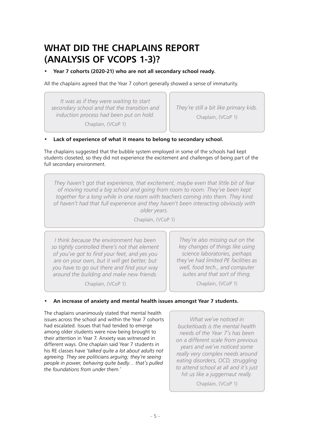## **WHAT DID THE CHAPLAINS REPORT (ANALYSIS OF VCOPS 1-3)?**

• **Year 7 cohorts (2020-21) who are not all secondary school ready.**

All the chaplains agreed that the Year 7 cohort generally showed a sense of immaturity.

*It was as if they were waiting to start secondary school and that the transition and induction process had been put on hold.* 

*They're still a bit like primary kids.* 

Chaplain, (VCoP 1)

Chaplain, (VCoP 1)

### • **Lack of experience of what it means to belong to secondary school.**

The chaplains suggested that the bubble system employed in some of the schools had kept students closeted, so they did not experience the excitement and challenges of being part of the full secondary environment.

*They haven't got that experience, that excitement, maybe even that little bit of fear of moving round a big school and going from room to room. They've been kept together for a long while in one room with teachers coming into them. They kind of haven't had that full experience and they haven't been interacting obviously with older years.* 

Chaplain, (VCoP 1)

*I think because the environment has been so tightly controlled there's not that element of you've got to find your feet, and yes you are on your own, but it will get better, but you have to go out there and find your way around the building and make new friends.* 

Chaplain, (VCoP 1)

*They're also missing out on the key changes of things like using science laboratories, perhaps they've had limited PE facilities as well, food tech., and computer suites and that sort of thing.* 

Chaplain, (VCoP 1)

### • **An increase of anxiety and mental health issues amongst Year 7 students.**

The chaplains unanimously stated that mental health issues across the school and within the Year 7 cohorts had escalated. Issues that had tended to emerge among older students were now being brought to their attention in Year 7. Anxiety was witnessed in different ways. One chaplain said Year 7 students in his RE classes have '*talked quite a lot about adults not agreeing. They see politicians arguing; they're seeing people in power, behaving quite badly… that's pulled the foundations from under them.'* 

*What we've noticed in bucketloads is the mental health needs of the Year 7's has been on a different scale from previous years and we've noticed some really very complex needs around eating disorders, OCD, struggling to attend school at all and it's just hit us like a juggernaut really.* 

Chaplain, (VCoP 1)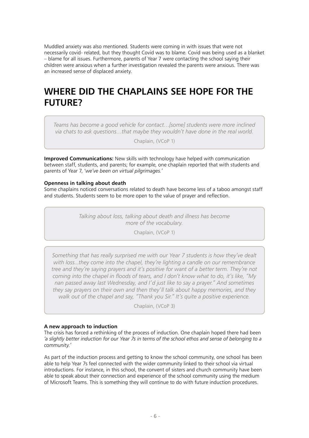Muddled anxiety was also mentioned. Students were coming in with issues that were not necessarily covid- related, but they thought Covid was to blame. Covid was being used as a blanket – blame for all issues. Furthermore, parents of Year 7 were contacting the school saying their children were anxious when a further investigation revealed the parents were anxious. There was an increased sense of displaced anxiety.

# **WHERE DID THE CHAPLAINS SEE HOPE FOR THE FUTURE?**

*Teams has become a good vehicle for contact…[some] students were more inclined via chats to ask questions…that maybe they wouldn't have done in the real world.* 

Chaplain, (VCoP 1)

**Improved Communications:** New skills with technology have helped with communication between staff, students, and parents; for example, one chaplain reported that with students and parents of Year 7, '*we've been on virtual pilgrimages.'* 

#### **Openness in talking about death**

Some chaplains noticed conversations related to death have become less of a taboo amongst staff and students. Students seem to be more open to the value of prayer and reflection.

> *Talking about loss, talking about death and illness has become more of the vocabulary.*

> > Chaplain, (VCoP 1)

*Something that has really surprised me with our Year 7 students is how they've dealt with loss...they come into the chapel, they're lighting a candle on our remembrance tree and they're saying prayers and it's positive for want of a better term. They're not coming into the chapel in floods of tears, and I don't know what to do, it's like, "My nan passed away last Wednesday, and I'd just like to say a prayer." And sometimes they say prayers on their own and then they'll talk about happy memories, and they walk out of the chapel and say, "Thank you Sir." It's quite a positive experience.* 

Chaplain, (VCoP 3)

### **A new approach to induction**

The crisis has forced a rethinking of the process of induction. One chaplain hoped there had been *'a slightly better induction for our Year 7s in terms of the school ethos and sense of belonging to a community.'*

As part of the induction process and getting to know the school community, one school has been able to help Year 7s feel connected with the wider community linked to their school via virtual introductions. For instance, in this school, the convent of sisters and church community have been able to speak about their connection and experience of the school community using the medium of Microsoft Teams. This is something they will continue to do with future induction procedures.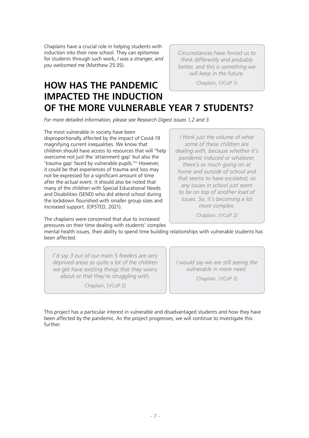Chaplains have a crucial role in helping students with induction into their new school. They can epitomise for students through such work, *I was a stranger, and you welcomed me* (Matthew 25:35).

*Circumstances have forced us to think differently and probably better, and this is something we will keep in the future.* 

Chaplain, (VCoP 1)

### **HOW HAS THE PANDEMIC IMPACTED THE INDUCTION OF THE MORE VULNERABLE YEAR 7 STUDENTS?**

*For more detailed information, please see Research Digest issues 1,2 and 3.*

The most vulnerable in society have been disproportionally affected by the impact of Covid-19 magnifying current inequalities. We know that children should have access to resources that will "help overcome not just the 'attainment gap' but also the 'trauma gap' faced by vulnerable pupils."iv However, it could be that experiences of trauma and loss may not be expressed for a significant amount of time after the actual event. It should also be noted that many of the children with Special Educational Needs and Disabilities (SEND) who did attend school during the lockdown flourished with smaller group sizes and increased support. (OFSTED, 2021).

The chaplains were concerned that due to increased pressures on their time dealing with students' complex

*I think just the volume of what some of these children are dealing with, because whether it's pandemic induced or whatever, there's so much going on at home and outside of school and that seems to have escalated, so any issues in school just seem to be on top of another load of issues. So, it's becoming a lot more complex.* 

Chaplain, (VCoP 2)

mental health issues, their ability to spend time building relationships with vulnerable students has been affected.

*I'd say 3 out of our main 5 feeders are very deprived areas so quite a lot of the children we get have existing things that they worry about or that they're struggling with.* 

Chaplain, (VCoP 2)

*I would say we are still seeing the vulnerable in more need.* 

Chaplain, (VCoP 2)

This project has a particular interest in vulnerable and disadvantaged students and how they have been affected by the pandemic. As the project progresses, we will continue to investigate this further.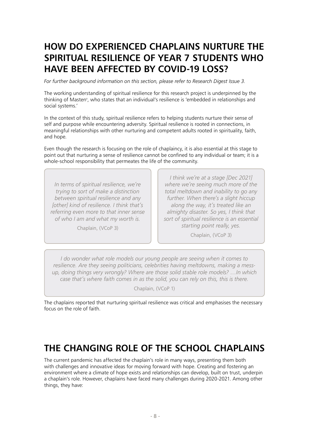# **HOW DO EXPERIENCED CHAPLAINS NURTURE THE SPIRITUAL RESILIENCE OF YEAR 7 STUDENTS WHO HAVE BEEN AFFECTED BY COVID-19 LOSS?**

*For further background information on this section, please refer to Research Digest Issue 3.*

The working understanding of spiritual resilience for this research project is underpinned by the thinking of Masten<sup>y</sup>, who states that an individual's resilience is 'embedded in relationships and social systems.'

In the context of this study, spiritual resilience refers to helping students nurture their sense of self and purpose while encountering adversity. Spiritual resilience is rooted in connections, in meaningful relationships with other nurturing and competent adults rooted in spirituality, faith, and hope.

Even though the research is focusing on the role of chaplaincy, it is also essential at this stage to point out that nurturing a sense of resilience cannot be confined to any individual or team; it is a whole-school responsibility that permeates the life of the community.

*In terms of spiritual resilience, we're trying to sort of make a distinction between spiritual resilience and any [other] kind of resilience. I think that's referring even more to that inner sense of who I am and what my worth is.* 

Chaplain, (VCoP 3)

*I think we're at a stage [Dec 2021] where we're seeing much more of the total meltdown and inability to go any further. When there's a slight hiccup along the way, it's treated like an almighty disaster. So yes, I think that sort of spiritual resilience is an essential starting point really, yes.* 

Chaplain, (VCoP 3)

*I* do wonder what role models our young people are seeing when it comes to *resilience. Are they seeing politicians, celebrities having meltdowns, making a messup, doing things very wrongly? Where are those solid stable role models? …In which case that's where faith comes in as the solid, you can rely on this, this is there.* 

Chaplain, (VCoP 1)

The chaplains reported that nurturing spiritual resilience was critical and emphasises the necessary focus on the role of faith.

### **THE CHANGING ROLE OF THE SCHOOL CHAPLAINS**

The current pandemic has affected the chaplain's role in many ways, presenting them both with challenges and innovative ideas for moving forward with hope. Creating and fostering an environment where a climate of hope exists and relationships can develop, built on trust, underpin a chaplain's role. However, chaplains have faced many challenges during 2020-2021. Among other things, they have: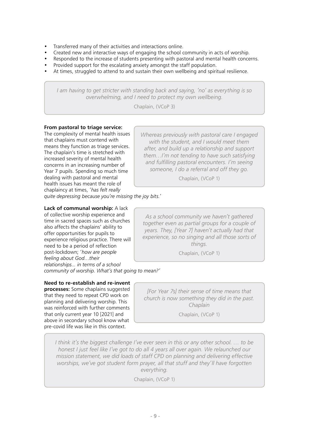- Transferred many of their activities and interactions online.
- Created new and interactive ways of engaging the school community in acts of worship.
- Responded to the increase of students presenting with pastoral and mental health concerns.
- Provided support for the escalating anxiety amongst the staff population.
- At times, struggled to attend to and sustain their own wellbeing and spiritual resilience.

*I am having to get stricter with standing back and saying, 'no' as everything is so overwhelming, and I need to protect my own wellbeing.* 

Chaplain, (VCoP 3)

### **From pastoral to triage service:**

The complexity of mental health issues that chaplains must contend with means they function as triage services. The chaplain's time is stretched with increased severity of mental health concerns in an increasing number of Year 7 pupils. Spending so much time dealing with pastoral and mental health issues has meant the role of chaplaincy at times, *'has felt really* 

*Whereas previously with pastoral care I engaged with the student, and I would meet them after, and build up a relationship and support them…I'm not tending to have such satisfying and fulfilling pastoral encounters. I'm seeing someone, I do a referral and off they go.* 

Chaplain, (VCoP 1)

*quite depressing because you're missing the joy bits.'* 

### **Lack of communal worship:** A lack

of collective worship experience and time in sacred spaces such as churches also affects the chaplains' ability to offer opportunities for pupils to experience religious practice. There will need to be a period of reflection post-lockdown; *'how are people feeling about God…their relationships... in terms of a school community of worship. What's that going to mean?'* 

### **Need to re-establish and re-invent**

**processes:** Some chaplains suggested that they need to repeat CPD work on planning and delivering worship. This was reinforced with further comments that only current year 10 [2021] and above in secondary school know what pre-covid life was like in this context.

*As a school community we haven't gathered together even as partial groups for a couple of years. They, [Year 7] haven't actually had that experience, so no singing and all those sorts of things.* 

Chaplain, (VCoP 1)

*[For Year 7s] their sense of time means that church is now something they did in the past. Chaplain* 

Chaplain, (VCoP 1)

*I think it's the biggest challenge I've ever seen in this or any other school. … to be honest I just feel like I've got to do all 4 years all over again. We relaunched our mission statement, we did loads of staff CPD on planning and delivering effective worships, we've got student form prayer, all that stuff and they'll have forgotten everything.* 

Chaplain, (VCoP 1)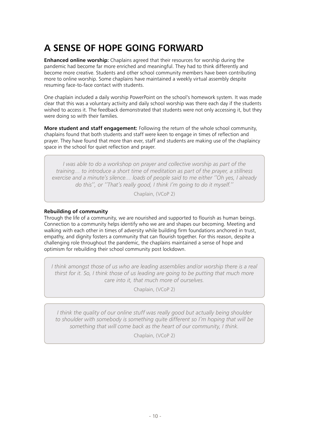# **A SENSE OF HOPE GOING FORWARD**

**Enhanced online worship:** Chaplains agreed that their resources for worship during the pandemic had become far more enriched and meaningful. They had to think differently and become more creative. Students and other school community members have been contributing more to online worship. Some chaplains have maintained a weekly virtual assembly despite resuming face-to-face contact with students.

One chaplain included a daily worship PowerPoint on the school's homework system. It was made clear that this was a voluntary activity and daily school worship was there each day if the students wished to access it. The feedback demonstrated that students were not only accessing it, but they were doing so with their families.

**More student and staff engagement:** Following the return of the whole school community, chaplains found that both students and staff were keen to engage in times of reflection and prayer. They have found that more than ever, staff and students are making use of the chaplaincy space in the school for quiet reflection and prayer.

*I was able to do a workshop on prayer and collective worship as part of the training… to introduce a short time of meditation as part of the prayer, a stillness exercise and a minute's silence… loads of people said to me either ''Oh yes, I already do this'', or ''That's really good, I think I'm going to do it myself.''* 

Chaplain, (VCoP 2)

### **Rebuilding of community**

Through the life of a community, we are nourished and supported to flourish as human beings. Connection to a community helps identify who we are and shapes our becoming. Meeting and walking with each other in times of adversity while building firm foundations anchored in trust, empathy, and dignity fosters a community that can flourish together. For this reason, despite a challenging role throughout the pandemic, the chaplains maintained a sense of hope and optimism for rebuilding their school community post lockdown.

*I think amongst those of us who are leading assemblies and/or worship there is a real thirst for it. So, I think those of us leading are going to be putting that much more care into it, that much more of ourselves.* 

Chaplain, (VCoP 2)

*I think the quality of our online stuff was really good but actually being shoulder to shoulder with somebody is something quite different so I'm hoping that will be something that will come back as the heart of our community, I think.* 

Chaplain, (VCoP 2)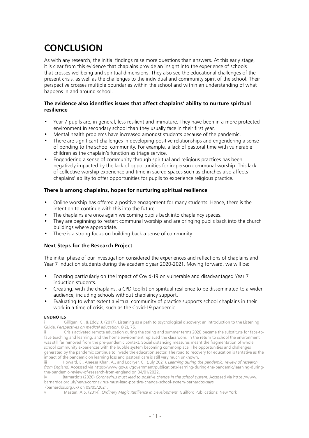# **CONCLUSION**

As with any research, the initial findings raise more questions than answers. At this early stage, it is clear from this evidence that chaplains provide an insight into the experience of schools that crosses wellbeing and spiritual dimensions. They also see the educational challenges of the present crisis, as well as the challenges to the individual and community spirit of the school. Their perspective crosses multiple boundaries within the school and within an understanding of what happens in and around school.

### **The evidence also identifies issues that affect chaplains' ability to nurture spiritual resilience**

- Year 7 pupils are, in general, less resilient and immature. They have been in a more protected environment in secondary school than they usually face in their first year.
- Mental health problems have increased amongst students because of the pandemic.
- There are significant challenges in developing positive relationships and engendering a sense of bonding to the school community. For example, a lack of pastoral time with vulnerable children as the chaplain's function as triage service.
- Engendering a sense of community through spiritual and religious practices has been negatively impacted by the lack of opportunities for in-person communal worship. This lack of collective worship experience and time in sacred spaces such as churches also affects chaplains' ability to offer opportunities for pupils to experience religious practice.

### **There is among chaplains, hopes for nurturing spiritual resilience**

- Online worship has offered a positive engagement for many students. Hence, there is the intention to continue with this into the future.
- The chaplains are once again welcoming pupils back into chaplaincy spaces.
- They are beginning to restart communal worship and are bringing pupils back into the church buildings where appropriate.
- There is a strong focus on building back a sense of community.

### **Next Steps for the Research Project**

The initial phase of our investigation considered the experiences and reflections of chaplains and Year 7 induction students during the academic year 2020-2021. Moving forward, we will be:

- Focusing particularly on the impact of Covid-19 on vulnerable and disadvantaged Year 7 induction students.
- Creating, with the chaplains, a CPD toolkit on spiritual resilience to be disseminated to a wider audience, including schools without chaplaincy support.
- Evaluating to what extent a virtual community of practice supports school chaplains in their work in a time of crisis, such as the Covid-19 pandemic.

#### **ENDNOTES**

i Gilligan, C., & Eddy, J. (2017). Listening as a path to psychological discovery: an introduction to the Listening Guide. *Perspectives on medical education*, 6(2), 76.

Crisis activated remote education during the spring and summer terms 2020 became the substitute for face-toface teaching and learning, and the home environment replaced the classroom. In the return to school the environment was still far removed from the pre-pandemic context. Social distancing measures meant the fragmentation of whole school community experiences with the bubble system becoming commonplace. The opportunities and challenges generated by the pandemic continue to invade the education sector. The road to recovery for education is tentative as the impact of the pandemic on learning loss and pastoral care is still very much unknown.

iii Howard, E., Aneesa Khan, A., and Lockyer, C., (July 2021). *Learning during the pandemic: review of research from England.* Accessed via https://www.gov.uk/government/publications/learning-during-the-pandemic/learning-duringthe-pandemic-review-of-research-from-england on 04/01/2022.

iv Barnardo's (2020) *Coronavirus must lead to positive change in the school system*. Accessed via https://www. barnardos.org.uk/news/coronavirus-must-lead-positive-change-school-system-barnardos-says (barnardos.org.uk) on 09/05/2021.

v Masten, A.S. (2014). *Ordinary Magic Resilience in Development*. Guilford Publications: New York